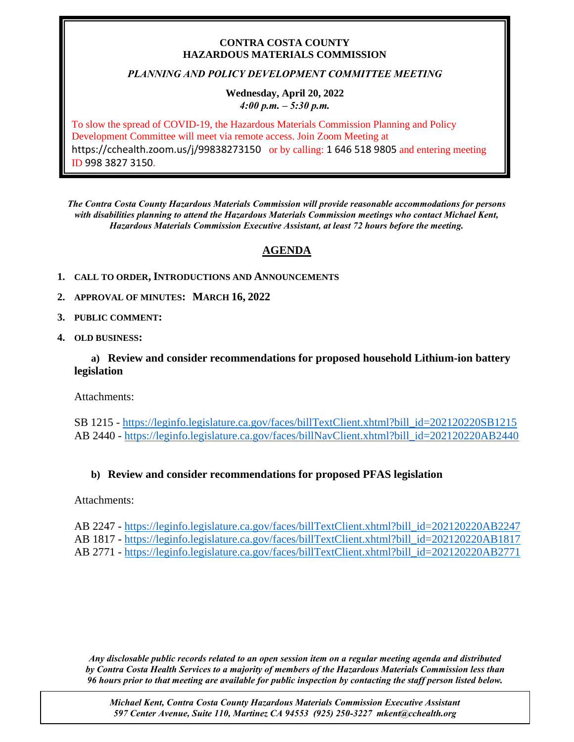### **CONTRA COSTA COUNTY HAZARDOUS MATERIALS COMMISSION**

## *PLANNING AND POLICY DEVELOPMENT COMMITTEE MEETING*

#### **Wednesday, April 20, 2022** *4:00 p.m. – 5:30 p.m.*

To slow the spread of COVID-19, the Hazardous Materials Commission Planning and Policy Development Committee will meet via remote access. Join Zoom Meeting at https://cchealth.zoom.us/j/99838273150 or by calling: 1 646 518 9805 and entering meeting ID 998 3827 3150.

*The Contra Costa County Hazardous Materials Commission will provide reasonable accommodations for persons with disabilities planning to attend the Hazardous Materials Commission meetings who contact Michael Kent, Hazardous Materials Commission Executive Assistant, at least 72 hours before the meeting.*

# **AGENDA**

- **1. CALL TO ORDER, INTRODUCTIONS AND ANNOUNCEMENTS**
- **2. APPROVAL OF MINUTES: MARCH 16, 2022**
- **3. PUBLIC COMMENT:**
- **4. OLD BUSINESS:**

**a) Review and consider recommendations for proposed household Lithium-ion battery legislation**

Attachments:

SB 1215 - [https://leginfo.legislature.ca.gov/faces/billTextClient.xhtml?bill\\_id=202120220SB1215](https://leginfo.legislature.ca.gov/faces/billTextClient.xhtml?bill_id=202120220SB1215) AB 2440 - [https://leginfo.legislature.ca.gov/faces/billNavClient.xhtml?bill\\_id=202120220AB2440](https://leginfo.legislature.ca.gov/faces/billNavClient.xhtml?bill_id=202120220AB2440)

# **b) Review and consider recommendations for proposed PFAS legislation**

Attachments:

AB 2247 - [https://leginfo.legislature.ca.gov/faces/billTextClient.xhtml?bill\\_id=202120220AB2247](https://leginfo.legislature.ca.gov/faces/billTextClient.xhtml?bill_id=202120220AB2247) AB 1817 - [https://leginfo.legislature.ca.gov/faces/billTextClient.xhtml?bill\\_id=202120220AB1817](https://leginfo.legislature.ca.gov/faces/billTextClient.xhtml?bill_id=202120220AB1817) AB 2771 - [https://leginfo.legislature.ca.gov/faces/billTextClient.xhtml?bill\\_id=202120220AB2771](https://leginfo.legislature.ca.gov/faces/billTextClient.xhtml?bill_id=202120220AB2771)

*Any disclosable public records related to an open session item on a regular meeting agenda and distributed by Contra Costa Health Services to a majority of members of the Hazardous Materials Commission less than 96 hours prior to that meeting are available for public inspection by contacting the staff person listed below.* 

*Michael Kent, Contra Costa County Hazardous Materials Commission Executive Assistant 597 Center Avenue, Suite 110, Martinez CA 94553 (925) 250-3227 mkent@cchealth.org*